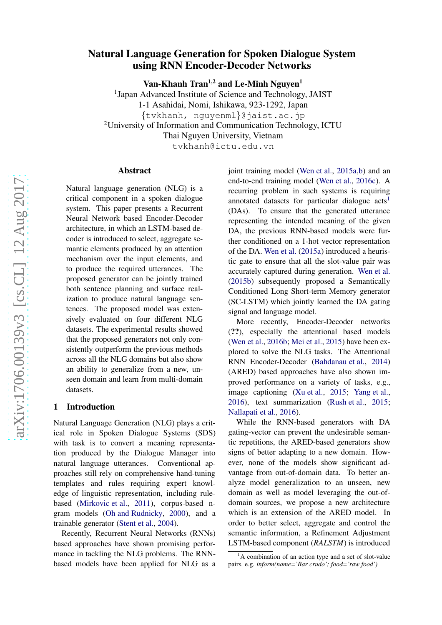# arXiv:1706.00139v3 [cs.CL] 12 Aug 2017 [arXiv:1706.00139v3 \[cs.CL\] 12 Aug 2017](http://arxiv.org/abs/1706.00139v3)

# Natural Language Generation for Spoken Dialogue System using RNN Encoder-Decoder Networks

Van-Khanh Tran<sup>1,2</sup> and Le-Minh Nguyen<sup>1</sup>

<sup>1</sup>Japan Advanced Institute of Science and Technology, JAIST 1-1 Asahidai, Nomi, Ishikawa, 923-1292, Japan {tvkhanh, nguyenml}@jaist.ac.jp <sup>2</sup>University of Information and Communication Technology, ICTU Thai Nguyen University, Vietnam tvkhanh@ictu.edu.vn

Abstract

Natural language generation (NLG) is a critical component in a spoken dialogue system. This paper presents a Recurrent Neural Network based Encoder-Decoder architecture, in which an LSTM-based decoder is introduced to select, aggregate semantic elements produced by an attention mechanism over the input elements, and to produce the required utterances. The proposed generator can be jointly trained both sentence planning and surface realization to produce natural language sentences. The proposed model was extensively evaluated on four different NLG datasets. The experimental results showed that the proposed generators not only consistently outperform the previous methods across all the NLG domains but also show an ability to generalize from a new, unseen domain and learn from multi-domain datasets.

## 1 Introduction

Natural Language Generation (NLG) plays a critical role in Spoken Dialogue Systems (SDS) with task is to convert a meaning representation produced by the Dialogue Manager into natural language utterances. Conventional approaches still rely on comprehensive hand-tuning templates and rules requiring expert knowledge of linguistic representation, including rulebased [\(Mirkovic et al.](#page-8-0), [2011\)](#page-8-0), corpus-based ngram models [\(Oh and Rudnicky](#page-8-1), [2000\)](#page-8-1), and a trainable generator [\(Stent et al.](#page-8-2) , [2004](#page-8-2)).

Recently, Recurrent Neural Networks (RNNs) based approaches have shown promising performance in tackling the NLG problems. The RNNbased models have been applied for NLG as a

joint training model [\(Wen et al.](#page-9-0) , [2015a](#page-9-0) , [b](#page-9-1)) and an end-to-end training model [\(Wen et al.](#page-9-2) , [2016c\)](#page-9-2). A recurring problem in such systems is requiring annotated datasets for particular dialogue acts<sup>[1](#page-0-0)</sup> (DAs). To ensure that the generated utterance representing the intended meaning of the given DA, the previous RNN-based models were further conditioned on a 1-hot vector representation of the DA. [Wen et al.](#page-9-0) [\(2015a](#page-9-0)) introduced a heuristic gate to ensure that all the slot-value pair was accurately captured during generation. [Wen et al.](#page-9-1) [\(2015b](#page-9-1)) subsequently proposed a Semantically Conditioned Long Short-term Memory generator (SC-LSTM) which jointly learned the DA gating signal and language model.

More recently, Encoder-Decoder networks (??), especially the attentional based models [\(Wen et al.](#page-9-3), [2016b;](#page-9-3) [Mei et al.,](#page-8-3) [2015](#page-8-3)) have been explored to solve the NLG tasks. The Attentional RNN Encoder-Decoder [\(Bahdanau et al.](#page-8-4) , [2014](#page-8-4) ) (ARED) based approaches have also shown improved performance on a variety of tasks, e.g., image captioning [\(Xu et al.](#page-9-4), [2015](#page-9-4); [Yang et al.](#page-9-5), [2016](#page-9-5)), text summarization [\(Rush et al.](#page-8-5) , [2015](#page-8-5) ; [Nallapati et al.](#page-8-6) , [2016](#page-8-6)).

While the RNN-based generators with DA gating-vector can prevent the undesirable semantic repetitions, the ARED-based generators show signs of better adapting to a new domain. However, none of the models show significant advantage from out-of-domain data. To better analyze model generalization to an unseen, new domain as well as model leveraging the out-ofdomain sources, we propose a new architecture which is an extension of the ARED model. In order to better select, aggregate and control the semantic information, a Refinement Adjustment LSTM-based component (*RALSTM*) is introduced

<span id="page-0-0"></span> ${}^{1}$ A combination of an action type and a set of slot-value pairs. e.g. *inform(name='Bar crudo'; food='raw food')*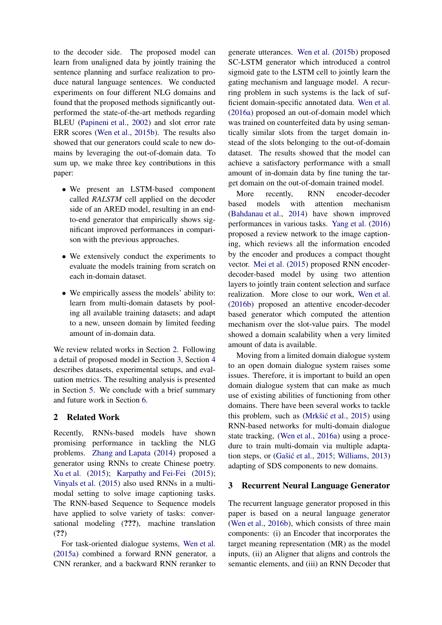to the decoder side. The proposed model can learn from unaligned data by jointly training the sentence planning and surface realization to produce natural language sentences. We conducted experiments on four different NLG domains and found that the proposed methods significantly outperformed the state-of-the-art methods regarding BLEU [\(Papineni et al.,](#page-8-7) [2002](#page-8-7)) and slot error rate ERR scores [\(Wen et al.,](#page-9-1) [2015b](#page-9-1)). The results also showed that our generators could scale to new domains by leveraging the out-of-domain data. To sum up, we make three key contributions in this paper:

- We present an LSTM-based component called *RALSTM* cell applied on the decoder side of an ARED model, resulting in an endto-end generator that empirically shows significant improved performances in comparison with the previous approaches.
- We extensively conduct the experiments to evaluate the models training from scratch on each in-domain dataset.
- We empirically assess the models' ability to: learn from multi-domain datasets by pooling all available training datasets; and adapt to a new, unseen domain by limited feeding amount of in-domain data.

We review related works in Section [2.](#page-1-0) Following a detail of proposed model in Section [3,](#page-1-1) Section [4](#page-4-0) describes datasets, experimental setups, and evaluation metrics. The resulting analysis is presented in Section [5.](#page-5-0) We conclude with a brief summary and future work in Section [6.](#page-8-8)

# <span id="page-1-0"></span>2 Related Work

Recently, RNNs-based models have shown promising performance in tackling the NLG problems. [Zhang and Lapata](#page-9-6) [\(2014\)](#page-9-6) proposed a generator using RNNs to create Chinese poetry. [Xu et al.](#page-9-4) [\(2015](#page-9-4)); [Karpathy and Fei-Fei](#page-8-9) [\(2015](#page-8-9)); [Vinyals et al.](#page-8-10) [\(2015](#page-8-10)) also used RNNs in a multimodal setting to solve image captioning tasks. The RNN-based Sequence to Sequence models have applied to solve variety of tasks: conversational modeling (???), machine translation (??)

For task-oriented dialogue systems, [Wen et al.](#page-9-0) [\(2015a](#page-9-0)) combined a forward RNN generator, a CNN reranker, and a backward RNN reranker to generate utterances. [Wen et al.](#page-9-1) [\(2015b](#page-9-1)) proposed SC-LSTM generator which introduced a control sigmoid gate to the LSTM cell to jointly learn the gating mechanism and language model. A recurring problem in such systems is the lack of sufficient domain-specific annotated data. [Wen et al.](#page-9-7) [\(2016a](#page-9-7)) proposed an out-of-domain model which was trained on counterfeited data by using semantically similar slots from the target domain instead of the slots belonging to the out-of-domain dataset. The results showed that the model can achieve a satisfactory performance with a small amount of in-domain data by fine tuning the target domain on the out-of-domain trained model.

More recently, RNN encoder-decoder based models with attention mechanism [\(Bahdanau et al.](#page-8-4), [2014](#page-8-4)) have shown improved performances in various tasks. [Yang et al.](#page-9-5) [\(2016\)](#page-9-5) proposed a review network to the image captioning, which reviews all the information encoded by the encoder and produces a compact thought vector. [Mei et al.](#page-8-3) [\(2015](#page-8-3)) proposed RNN encoderdecoder-based model by using two attention layers to jointly train content selection and surface realization. More close to our work, [Wen et al.](#page-9-3) [\(2016b](#page-9-3)) proposed an attentive encoder-decoder based generator which computed the attention mechanism over the slot-value pairs. The model showed a domain scalability when a very limited amount of data is available.

Moving from a limited domain dialogue system to an open domain dialogue system raises some issues. Therefore, it is important to build an open domain dialogue system that can make as much use of existing abilities of functioning from other domains. There have been several works to tackle this problem, such as (Mrkšić et al., [2015](#page-8-11)) using RNN-based networks for multi-domain dialogue state tracking, [\(Wen et al.,](#page-9-7) [2016a](#page-9-7)) using a procedure to train multi-domain via multiple adaptation steps, or  $(Gašić et al., 2015; Williams, 2013)$  $(Gašić et al., 2015; Williams, 2013)$  $(Gašić et al., 2015; Williams, 2013)$  $(Gašić et al., 2015; Williams, 2013)$  $(Gašić et al., 2015; Williams, 2013)$  $(Gašić et al., 2015; Williams, 2013)$ adapting of SDS components to new domains.

# <span id="page-1-1"></span>3 Recurrent Neural Language Generator

The recurrent language generator proposed in this paper is based on a neural language generator [\(Wen et al.](#page-9-3), [2016b\)](#page-9-3), which consists of three main components: (i) an Encoder that incorporates the target meaning representation (MR) as the model inputs, (ii) an Aligner that aligns and controls the semantic elements, and (iii) an RNN Decoder that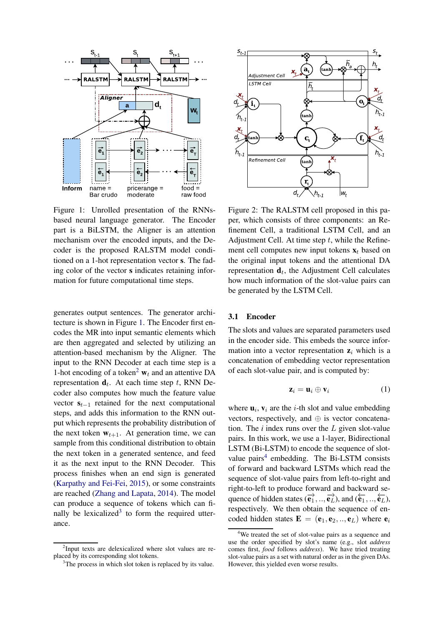<span id="page-2-0"></span>

Figure 1: Unrolled presentation of the RNNsbased neural language generator. The Encoder part is a BiLSTM, the Aligner is an attention mechanism over the encoded inputs, and the Decoder is the proposed RALSTM model conditioned on a 1-hot representation vector s. The fading color of the vector s indicates retaining information for future computational time steps.

generates output sentences. The generator architecture is shown in Figure [1.](#page-2-0) The Encoder first encodes the MR into input semantic elements which are then aggregated and selected by utilizing an attention-based mechanism by the Aligner. The input to the RNN Decoder at each time step is a 1-hot encoding of a token<sup>[2](#page-2-1)</sup>  $w_t$  and an attentive DA representation  $\mathbf{d}_t$ . At each time step t, RNN Decoder also computes how much the feature value vector  $s_{t-1}$  retained for the next computational steps, and adds this information to the RNN output which represents the probability distribution of the next token  $w_{t+1}$ . At generation time, we can sample from this conditional distribution to obtain the next token in a generated sentence, and feed it as the next input to the RNN Decoder. This process finishes when an end sign is generated [\(Karpathy and Fei-Fei,](#page-8-9) [2015](#page-8-9)), or some constraints are reached [\(Zhang and Lapata,](#page-9-6) [2014\)](#page-9-6). The model can produce a sequence of tokens which can fi-nally be lexicalized<sup>[3](#page-2-2)</sup> to form the required utterance.



Figure 2: The RALSTM cell proposed in this paper, which consists of three components: an Refinement Cell, a traditional LSTM Cell, and an Adjustment Cell. At time step  $t$ , while the Refinement cell computes new input tokens  $x_t$  based on the original input tokens and the attentional DA representation  $\mathbf{d}_t$ , the Adjustment Cell calculates how much information of the slot-value pairs can be generated by the LSTM Cell.

## 3.1 Encoder

The slots and values are separated parameters used in the encoder side. This embeds the source information into a vector representation  $z_i$  which is a concatenation of embedding vector representation of each slot-value pair, and is computed by:

$$
\mathbf{z}_i = \mathbf{u}_i \oplus \mathbf{v}_i \tag{1}
$$

where  $\mathbf{u}_i$ ,  $\mathbf{v}_i$  are the *i*-th slot and value embedding vectors, respectively, and  $\oplus$  is vector concatenation. The *i* index runs over the L given slot-value pairs. In this work, we use a 1-layer, Bidirectional LSTM (Bi-LSTM) to encode the sequence of slot-value pairs<sup>[4](#page-2-3)</sup> embedding. The Bi-LSTM consists of forward and backward LSTMs which read the sequence of slot-value pairs from left-to-right and right-to-left to produce forward and backward sequence of hidden states  $(\overrightarrow{e_1}, ..., \overrightarrow{e_L})$ , and  $(\overleftarrow{e_1}, ..., \overleftarrow{e_L})$ , respectively. We then obtain the sequence of encoded hidden states  $\mathbf{E} = (\mathbf{e}_1, \mathbf{e}_2, ..., \mathbf{e}_L)$  where  $\mathbf{e}_i$ 

<sup>&</sup>lt;sup>2</sup>Input texts are delexicalized where slot values are replaced by its corresponding slot tokens.

<span id="page-2-2"></span><span id="page-2-1"></span><sup>&</sup>lt;sup>3</sup>The process in which slot token is replaced by its value.

<span id="page-2-3"></span><sup>&</sup>lt;sup>4</sup>We treated the set of slot-value pairs as a sequence and use the order specified by slot's name (e.g., slot *address* comes first, *food* follows *address*). We have tried treating slot-value pairs as a set with natural order as in the given DAs. However, this yielded even worse results.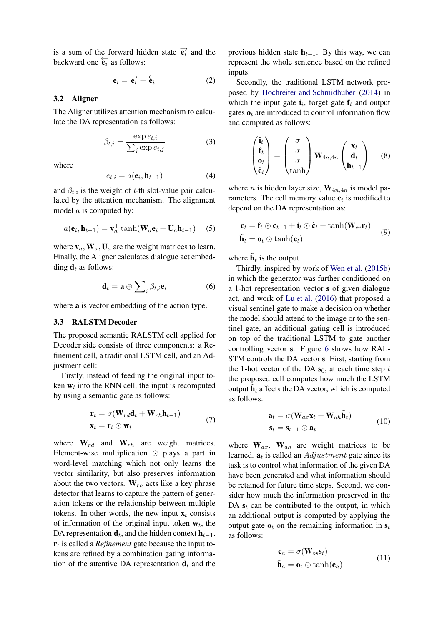is a sum of the forward hidden state  $\overrightarrow{e_i}$  and the backward one  $\overleftarrow{e_i}$  as follows:

$$
\mathbf{e}_i = \overrightarrow{\mathbf{e}_i} + \overleftarrow{\mathbf{e}_i} \tag{2}
$$

### 3.2 Aligner

The Aligner utilizes attention mechanism to calculate the DA representation as follows:

$$
\beta_{t,i} = \frac{\exp e_{t,i}}{\sum_j \exp e_{t,j}}\tag{3}
$$

where

$$
e_{t,i} = a(\mathbf{e}_i, \mathbf{h}_{t-1})
$$
 (4)

and  $\beta_{t,i}$  is the weight of *i*-th slot-value pair calculated by the attention mechanism. The alignment model a is computed by:

$$
a(\mathbf{e}_i, \mathbf{h}_{t-1}) = \mathbf{v}_a^{\top} \tanh(\mathbf{W}_a \mathbf{e}_i + \mathbf{U}_a \mathbf{h}_{t-1}) \quad (5)
$$

where  $v_a$ ,  $W_a$ ,  $U_a$  are the weight matrices to learn. Finally, the Aligner calculates dialogue act embedding  $\mathbf{d}_t$  as follows:

$$
\mathbf{d}_t = \mathbf{a} \oplus \sum_i \beta_{t,i} \mathbf{e}_i \tag{6}
$$

where a is vector embedding of the action type.

### 3.3 RALSTM Decoder

The proposed semantic RALSTM cell applied for Decoder side consists of three components: a Refinement cell, a traditional LSTM cell, and an Adjustment cell:

Firstly, instead of feeding the original input token  $w_t$  into the RNN cell, the input is recomputed by using a semantic gate as follows:

$$
\mathbf{r}_t = \sigma(\mathbf{W}_{rd}\mathbf{d}_t + \mathbf{W}_{rh}\mathbf{h}_{t-1})
$$
  

$$
\mathbf{x}_t = \mathbf{r}_t \odot \mathbf{w}_t
$$
 (7)

where  $\mathbf{W}_{rd}$  and  $\mathbf{W}_{rh}$  are weight matrices. Element-wise multiplication ⊙ plays a part in word-level matching which not only learns the vector similarity, but also preserves information about the two vectors.  $W_{rh}$  acts like a key phrase detector that learns to capture the pattern of generation tokens or the relationship between multiple tokens. In other words, the new input  $x_t$  consists of information of the original input token  $w_t$ , the DA representation  $\mathbf{d}_t$ , and the hidden context  $\mathbf{h}_{t-1}$ .  $\mathbf{r}_t$  is called a *Refinement* gate because the input tokens are refined by a combination gating information of the attentive DA representation  $\mathbf{d}_t$  and the previous hidden state  $h_{t-1}$ . By this way, we can represent the whole sentence based on the refined inputs.

Secondly, the traditional LSTM network proposed by [Hochreiter and Schmidhuber](#page-8-13) [\(2014\)](#page-8-4) in which the input gate  $\mathbf{i}_i$ , forget gate  $\mathbf{f}_t$  and output gates  $\mathbf{o}_t$  are introduced to control information flow and computed as follows:

$$
\begin{pmatrix} \mathbf{i}_t \\ \mathbf{f}_t \\ \mathbf{o}_t \\ \hat{\mathbf{c}}_t \end{pmatrix} = \begin{pmatrix} \sigma \\ \sigma \\ \sigma \\ \tanh \end{pmatrix} \mathbf{W}_{4n,4n} \begin{pmatrix} \mathbf{x}_t \\ \mathbf{d}_t \\ \mathbf{h}_{t-1} \end{pmatrix}
$$
 (8)

where *n* is hidden layer size,  $W_{4n,4n}$  is model parameters. The cell memory value  $\mathbf{c}_t$  is modified to depend on the DA representation as:

$$
\begin{aligned} \mathbf{c}_t &= \mathbf{f}_t \odot \mathbf{c}_{t-1} + \mathbf{i}_t \odot \hat{\mathbf{c}}_t + \tanh(\mathbf{W}_{cr} \mathbf{r}_t) \\ \tilde{\mathbf{h}}_t &= \mathbf{o}_t \odot \tanh(\mathbf{c}_t) \end{aligned} \tag{9}
$$

where  $\tilde{\mathbf{h}}_t$  is the output.

Thirdly, inspired by work of [Wen et al.](#page-9-1) [\(2015b\)](#page-9-1) in which the generator was further conditioned on a 1-hot representation vector s of given dialogue act, and work of [Lu et al.](#page-8-14) [\(2016\)](#page-8-14) that proposed a visual sentinel gate to make a decision on whether the model should attend to the image or to the sentinel gate, an additional gating cell is introduced on top of the traditional LSTM to gate another controlling vector s. Figure [6](#page-7-0) shows how RAL-STM controls the DA vector s. First, starting from the 1-hot vector of the DA  $s_0$ , at each time step t the proposed cell computes how much the LSTM output  $\tilde{\mathbf{h}}_t$  affects the DA vector, which is computed as follows:

$$
\mathbf{a}_t = \sigma(\mathbf{W}_{ax}\mathbf{x}_t + \mathbf{W}_{ah}\tilde{\mathbf{h}}_t) \n\mathbf{s}_t = \mathbf{s}_{t-1} \odot \mathbf{a}_t
$$
\n(10)

where  $\mathbf{W}_{ax}$ ,  $\mathbf{W}_{ah}$  are weight matrices to be learned.  $a_t$  is called an  $Adjustment$  gate since its task is to control what information of the given DA have been generated and what information should be retained for future time steps. Second, we consider how much the information preserved in the DA  $s_t$  can be contributed to the output, in which an additional output is computed by applying the output gate  $\mathbf{o}_t$  on the remaining information in  $\mathbf{s}_t$ as follows:

$$
\begin{aligned} \mathbf{c}_a &= \sigma(\mathbf{W}_{os}\mathbf{s}_t) \\ \tilde{\mathbf{h}}_a &= \mathbf{o}_t \odot \tanh(\mathbf{c}_a) \end{aligned} \tag{11}
$$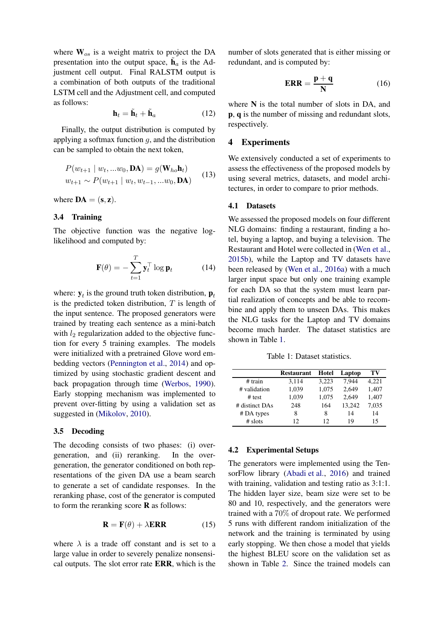where  $W_{os}$  is a weight matrix to project the DA presentation into the output space,  $\tilde{\mathbf{h}}_a$  is the Adjustment cell output. Final RALSTM output is a combination of both outputs of the traditional LSTM cell and the Adjustment cell, and computed as follows:

$$
\mathbf{h}_t = \tilde{\mathbf{h}}_t + \tilde{\mathbf{h}}_a \tag{12}
$$

Finally, the output distribution is computed by applying a softmax function  $q$ , and the distribution can be sampled to obtain the next token,

$$
P(w_{t+1} | w_t, ...w_0, \mathbf{DA}) = g(\mathbf{W}_{ho}\mathbf{h}_t)
$$
  

$$
w_{t+1} \sim P(w_{t+1} | w_t, w_{t-1}, ...w_0, \mathbf{DA})
$$
 (13)

where  $DA = (s, z)$ .

### 3.4 Training

The objective function was the negative loglikelihood and computed by:

$$
\mathbf{F}(\theta) = -\sum_{t=1}^{T} \mathbf{y}_t^{\top} \log \mathbf{p}_t \qquad (14)
$$

where:  $y_t$  is the ground truth token distribution,  $p_t$ is the predicted token distribution,  $T$  is length of the input sentence. The proposed generators were trained by treating each sentence as a mini-batch with  $l_2$  regularization added to the objective function for every 5 training examples. The models were initialized with a pretrained Glove word embedding vectors [\(Pennington et al.](#page-8-15), [2014\)](#page-8-15) and optimized by using stochastic gradient descent and back propagation through time [\(Werbos](#page-9-9), [1990\)](#page-9-9). Early stopping mechanism was implemented to prevent over-fitting by using a validation set as suggested in [\(Mikolov,](#page-8-16) [2010](#page-8-16)).

# 3.5 Decoding

The decoding consists of two phases: (i) overgeneration, and (ii) reranking. In the overgeneration, the generator conditioned on both representations of the given DA use a beam search to generate a set of candidate responses. In the reranking phase, cost of the generator is computed to form the reranking score  **as follows:** 

$$
\mathbf{R} = \mathbf{F}(\theta) + \lambda \mathbf{ERR} \tag{15}
$$

where  $\lambda$  is a trade off constant and is set to a large value in order to severely penalize nonsensical outputs. The slot error rate ERR, which is the number of slots generated that is either missing or redundant, and is computed by:

$$
ERR = \frac{p+q}{N} \tag{16}
$$

where  $N$  is the total number of slots in DA, and p, q is the number of missing and redundant slots, respectively.

# <span id="page-4-0"></span>4 Experiments

We extensively conducted a set of experiments to assess the effectiveness of the proposed models by using several metrics, datasets, and model architectures, in order to compare to prior methods.

### 4.1 Datasets

We assessed the proposed models on four different NLG domains: finding a restaurant, finding a hotel, buying a laptop, and buying a television. The Restaurant and Hotel were collected in [\(Wen et al.,](#page-9-1) [2015b](#page-9-1)), while the Laptop and TV datasets have been released by [\(Wen et al.](#page-9-7), [2016a\)](#page-9-7) with a much larger input space but only one training example for each DA so that the system must learn partial realization of concepts and be able to recombine and apply them to unseen DAs. This makes the NLG tasks for the Laptop and TV domains become much harder. The dataset statistics are shown in Table [1.](#page-4-1)

Table 1: Dataset statistics.

<span id="page-4-1"></span>

|                | <b>Restaurant</b> | Hotel | Laptop | ТV    |
|----------------|-------------------|-------|--------|-------|
| # train        | 3,114             | 3.223 | 7.944  | 4.221 |
| # validation   | 1,039             | 1,075 | 2.649  | 1,407 |
| # test         | 1,039             | 1,075 | 2,649  | 1,407 |
| # distinct DAs | 248               | 164   | 13,242 | 7,035 |
| # DA types     | 8                 | 8     | 14     | 14    |
| $#$ slots      | 12                | 12    | 19     | 15    |

### <span id="page-4-2"></span>4.2 Experimental Setups

The generators were implemented using the TensorFlow library [\(Abadi et al.](#page-8-17), [2016\)](#page-8-17) and trained with training, validation and testing ratio as  $3:1:1$ . The hidden layer size, beam size were set to be 80 and 10, respectively, and the generators were trained with a 70% of dropout rate. We performed 5 runs with different random initialization of the network and the training is terminated by using early stopping. We then chose a model that yields the highest BLEU score on the validation set as shown in Table [2.](#page-5-1) Since the trained models can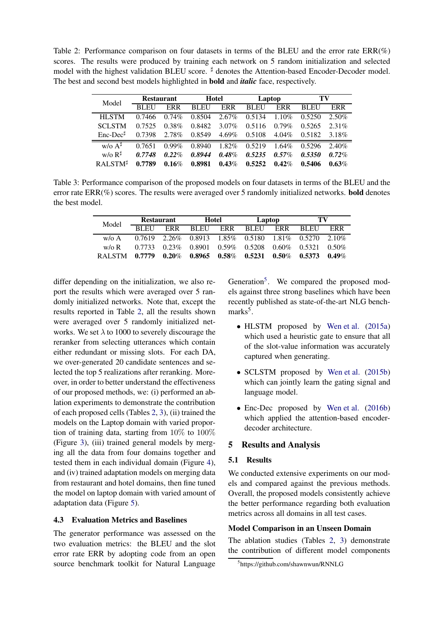<span id="page-5-1"></span>Table 2: Performance comparison on four datasets in terms of the BLEU and the error rate  $ERR(\%)$ scores. The results were produced by training each network on 5 random initialization and selected model with the highest validation BLEU score. <sup>‡</sup> denotes the Attention-based Encoder-Decoder model. The best and second best models highlighted in bold and *italic* face, respectively.

| Model                     | <b>Restaurant</b> |            | <b>Hotel</b> |          | Laptop |          | TV          |            |
|---------------------------|-------------------|------------|--------------|----------|--------|----------|-------------|------------|
|                           | <b>BLEU</b>       | <b>ERR</b> | <b>BLEU</b>  | ERR      | BLEU   | ERR      | <b>BLEU</b> | <b>ERR</b> |
| <b>HLSTM</b>              | 0.7466            | 0.74%      | 0.8504       | $2.67\%$ | 0.5134 | 1.10%    | 0.5250      | 2.50%      |
| <b>SCLSTM</b>             | 0.7525            | 0.38%      | 0.8482       | $3.07\%$ | 0.5116 | $0.79\%$ | 0.5265      | 2.31%      |
| $Enc\text{-}Dec^{\sharp}$ | 0.7398            | $2.78\%$   | 0.8549       | $4.69\%$ | 0.5108 | $4.04\%$ | 0.5182      | 3.18%      |
| $W/\Omega A^{\sharp}$     | 0.7651            | $0.99\%$   | 0.8940       | 1.82%    | 0.5219 | 1.64%    | 0.5296      | 2.40%      |
| $W/0 R^{\sharp}$          | 0.7748            | 0.22%      | 0.8944       | 0.48%    | 0.5235 | $0.57\%$ | 0.5350      | 0.72%      |
| RAL STM <sup>#</sup>      | 0.7789            | 0.16%      | 0.8981       | 0.43%    | 0.5252 | 0.42%    | 0.5406      | $0.63\%$   |

<span id="page-5-2"></span>Table 3: Performance comparison of the proposed models on four datasets in terms of the BLEU and the error rate  $ERR(\%)$  scores. The results were averaged over 5 randomly initialized networks. **bold** denotes the best model.

| Model         | <b>Restaurant</b> |            | Hotel                                                                   |  | Laptop   |  | TV   |       |
|---------------|-------------------|------------|-------------------------------------------------------------------------|--|----------|--|------|-------|
|               | <b>BLEU</b>       | <b>ERR</b> | BLEU ERR                                                                |  | BLEU ERR |  | BLEU | ERR   |
| $w/\alpha A$  |                   |            | $0.7619$ $2.26\%$ $0.8913$ $1.85\%$ $0.5180$ $1.81\%$ $0.5270$ $2.10\%$ |  |          |  |      |       |
| $w/\alpha R$  |                   |            | $0.7733$ $0.23\%$ $0.8901$ $0.59\%$ $0.5208$ $0.60\%$ $0.5321$ $0.50\%$ |  |          |  |      |       |
| <b>RALSTM</b> | 0.7779            |            | $0.20\%$ $0.8965$ $0.58\%$ $0.5231$ $0.50\%$ $0.5373$                   |  |          |  |      | 0.49% |

differ depending on the initialization, we also report the results which were averaged over 5 randomly initialized networks. Note that, except the results reported in Table [2,](#page-5-1) all the results shown were averaged over 5 randomly initialized networks. We set  $\lambda$  to 1000 to severely discourage the reranker from selecting utterances which contain either redundant or missing slots. For each DA, we over-generated 20 candidate sentences and selected the top 5 realizations after reranking. Moreover, in order to better understand the effectiveness of our proposed methods, we: (i) performed an ablation experiments to demonstrate the contribution of each proposed cells (Tables [2,](#page-5-1) [3\)](#page-5-2), (ii) trained the models on the Laptop domain with varied proportion of training data, starting from 10% to 100% (Figure [3\)](#page-6-0), (iii) trained general models by merging all the data from four domains together and tested them in each individual domain (Figure [4\)](#page-6-1), and (iv) trained adaptation models on merging data from restaurant and hotel domains, then fine tuned the model on laptop domain with varied amount of adaptation data (Figure [5\)](#page-6-2).

### 4.3 Evaluation Metrics and Baselines

The generator performance was assessed on the two evaluation metrics: the BLEU and the slot error rate ERR by adopting code from an open source benchmark toolkit for Natural Language

Generation<sup>[5](#page-5-3)</sup>. We compared the proposed models against three strong baselines which have been recently published as state-of-the-art NLG benchmarks<sup>5</sup>.

- HLSTM proposed by [Wen et al.](#page-9-0) [\(2015a\)](#page-9-0) which used a heuristic gate to ensure that all of the slot-value information was accurately captured when generating.
- SCLSTM proposed by [Wen et al.](#page-9-1) [\(2015b\)](#page-9-1) which can jointly learn the gating signal and language model.
- Enc-Dec proposed by [Wen et al.](#page-9-3) [\(2016b\)](#page-9-3) which applied the attention-based encoderdecoder architecture.

# <span id="page-5-0"></span>5 Results and Analysis

# 5.1 Results

We conducted extensive experiments on our models and compared against the previous methods. Overall, the proposed models consistently achieve the better performance regarding both evaluation metrics across all domains in all test cases.

# Model Comparison in an Unseen Domain

The ablation studies (Tables [2,](#page-5-1) [3\)](#page-5-2) demonstrate the contribution of different model components

<span id="page-5-3"></span><sup>5</sup> https://github.com/shawnwun/RNNLG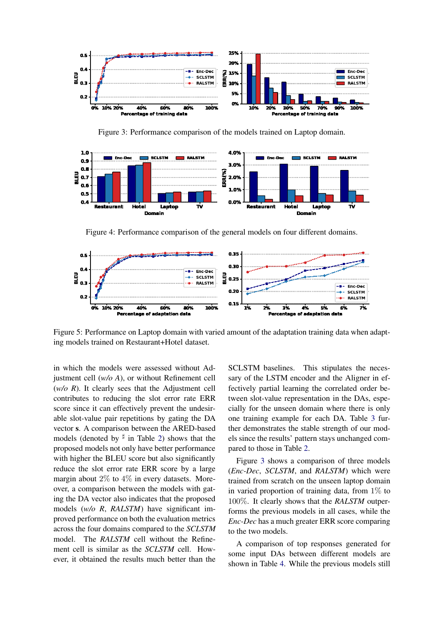<span id="page-6-0"></span>

Figure 3: Performance comparison of the models trained on Laptop domain.

<span id="page-6-1"></span>

Figure 4: Performance comparison of the general models on four different domains.

<span id="page-6-2"></span>

Figure 5: Performance on Laptop domain with varied amount of the adaptation training data when adapting models trained on Restaurant+Hotel dataset.

in which the models were assessed without Adjustment cell (*w/o A*), or without Refinement cell (*w/o R*). It clearly sees that the Adjustment cell contributes to reducing the slot error rate ERR score since it can effectively prevent the undesirable slot-value pair repetitions by gating the DA vector s. A comparison between the ARED-based models (denoted by  $\frac{d}{dx}$  in Table [2\)](#page-5-1) shows that the proposed models not only have better performance with higher the BLEU score but also significantly reduce the slot error rate ERR score by a large margin about  $2\%$  to  $4\%$  in every datasets. Moreover, a comparison between the models with gating the DA vector also indicates that the proposed models (*w/o R*, *RALSTM*) have significant improved performance on both the evaluation metrics across the four domains compared to the *SCLSTM* model. The *RALSTM* cell without the Refinement cell is similar as the *SCLSTM* cell. However, it obtained the results much better than the SCLSTM baselines. This stipulates the necessary of the LSTM encoder and the Aligner in effectively partial learning the correlated order between slot-value representation in the DAs, especially for the unseen domain where there is only one training example for each DA. Table [3](#page-5-2) further demonstrates the stable strength of our models since the results' pattern stays unchanged compared to those in Table [2.](#page-5-1)

Figure [3](#page-6-0) shows a comparison of three models (*Enc-Dec*, *SCLSTM*, and *RALSTM*) which were trained from scratch on the unseen laptop domain in varied proportion of training data, from  $1\%$  to 100%. It clearly shows that the *RALSTM* outperforms the previous models in all cases, while the *Enc-Dec* has a much greater ERR score comparing to the two models.

A comparison of top responses generated for some input DAs between different models are shown in Table [4.](#page-7-1) While the previous models still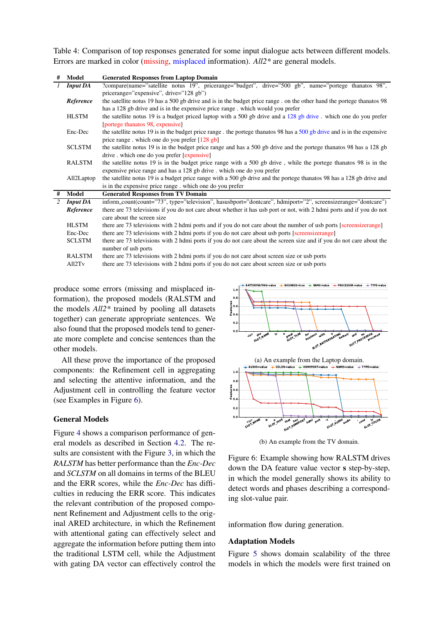<span id="page-7-1"></span>Table 4: Comparison of top responses generated for some input dialogue acts between different models. Errors are marked in color (missing, misplaced information). *All2\** are general models.

| # | Model              | <b>Generated Responses from Laptop Domain</b>                                                                          |  |  |  |  |  |  |
|---|--------------------|------------------------------------------------------------------------------------------------------------------------|--|--|--|--|--|--|
|   | <b>Input DA</b>    | ?compare(name="satellite notus 19", pricerange="budget", drive="500 gb", name="portege thanatos 98",                   |  |  |  |  |  |  |
|   |                    | pricerange="expensive", drive="128 gb")                                                                                |  |  |  |  |  |  |
|   | Reference          | the satellite notus 19 has a 500 gb drive and is in the budget price range. on the other hand the portege thanatos 98  |  |  |  |  |  |  |
|   |                    | has a 128 gb drive and is in the expensive price range. which would you prefer                                         |  |  |  |  |  |  |
|   | <b>HLSTM</b>       | the satellite notus 19 is a budget priced laptop with a 500 gb drive and a 128 gb drive. which one do you prefer       |  |  |  |  |  |  |
|   |                    | [portege than atos 98, expensive]                                                                                      |  |  |  |  |  |  |
|   | Enc-Dec            | the satellite notus 19 is in the budget price range. the portege than to 98 has a 500 gb drive and is in the expensive |  |  |  |  |  |  |
|   |                    | price range. which one do you prefer [128 gb]                                                                          |  |  |  |  |  |  |
|   | <b>SCLSTM</b>      | the satellite notus 19 is in the budget price range and has a 500 gb drive and the portege thanatos 98 has a 128 gb    |  |  |  |  |  |  |
|   |                    | drive . which one do you prefer [expensive]                                                                            |  |  |  |  |  |  |
|   | <b>RALSTM</b>      | the satellite notus 19 is in the budget price range with a 500 gb drive, while the portege thanatos 98 is in the       |  |  |  |  |  |  |
|   |                    | expensive price range and has a 128 gb drive. which one do you prefer                                                  |  |  |  |  |  |  |
|   | All2Laptop         | the satellite notus 19 is a budget price range with a 500 gb drive and the portege thanatos 98 has a 128 gb drive and  |  |  |  |  |  |  |
|   |                    | is in the expensive price range. which one do you prefer                                                               |  |  |  |  |  |  |
| # | Model              | <b>Generated Responses from TV Domain</b>                                                                              |  |  |  |  |  |  |
| 2 | <b>Input DA</b>    | inform_count(count="73", type="television", hasusbport="dontcare", hdmiport="2", screensizerange="dontcare")           |  |  |  |  |  |  |
|   | Reference          | there are 73 televisions if you do not care about whether it has usb port or not, with 2 hdmi ports and if you do not  |  |  |  |  |  |  |
|   |                    | care about the screen size                                                                                             |  |  |  |  |  |  |
|   | <b>HLSTM</b>       | there are 73 televisions with 2 hdmi ports and if you do not care about the number of usb ports [screensizerange]      |  |  |  |  |  |  |
|   | Enc-Dec            | there are 73 televisions with 2 hdmi ports if you do not care about usb ports [screensizerange]                        |  |  |  |  |  |  |
|   | <b>SCLSTM</b>      | there are 73 televisions with 2 hdmi ports if you do not care about the screen size and if you do not care about the   |  |  |  |  |  |  |
|   |                    | number of usb ports                                                                                                    |  |  |  |  |  |  |
|   | RALSTM             | there are 73 televisions with 2 hdmi ports if you do not care about screen size or usb ports                           |  |  |  |  |  |  |
|   | All2T <sub>v</sub> | there are 73 televisions with 2 hdmi ports if you do not care about screen size or usb ports                           |  |  |  |  |  |  |

produce some errors (missing and misplaced information), the proposed models (RALSTM and the models *All2\** trained by pooling all datasets together) can generate appropriate sentences. We also found that the proposed models tend to generate more complete and concise sentences than the other models.

All these prove the importance of the proposed components: the Refinement cell in aggregating and selecting the attentive information, and the Adjustment cell in controlling the feature vector (see Examples in Figure [6\)](#page-7-0).

# General Models

Figure [4](#page-6-1) shows a comparison performance of general models as described in Section [4.2.](#page-4-2) The results are consistent with the Figure [3,](#page-6-0) in which the *RALSTM* has better performance than the *Enc-Dec* and *SCLSTM* on all domains in terms of the BLEU and the ERR scores, while the *Enc-Dec* has difficulties in reducing the ERR score. This indicates the relevant contribution of the proposed component Refinement and Adjustment cells to the original ARED architecture, in which the Refinement with attentional gating can effectively select and aggregate the information before putting them into the traditional LSTM cell, while the Adjustment with gating DA vector can effectively control the

<span id="page-7-0"></span>



(b) An example from the TV domain.

Figure 6: Example showing how RALSTM drives down the DA feature value vector s step-by-step, in which the model generally shows its ability to detect words and phases describing a corresponding slot-value pair.

information flow during generation.

### Adaptation Models

Figure [5](#page-6-2) shows domain scalability of the three models in which the models were first trained on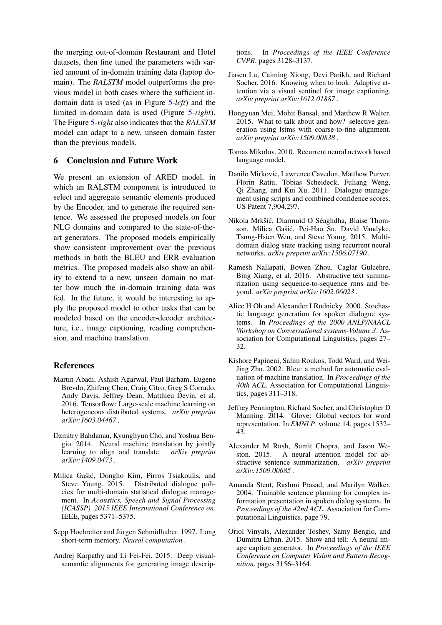the merging out-of-domain Restaurant and Hotel datasets, then fine tuned the parameters with varied amount of in-domain training data (laptop domain). The *RALSTM* model outperforms the previous model in both cases where the sufficient indomain data is used (as in Figure [5-](#page-6-2)*left*) and the limited in-domain data is used (Figure [5-](#page-6-2)*right*). The Figure [5-](#page-6-2)*right* also indicates that the *RALSTM* model can adapt to a new, unseen domain faster than the previous models.

# <span id="page-8-8"></span>6 Conclusion and Future Work

We present an extension of ARED model, in which an RALSTM component is introduced to select and aggregate semantic elements produced by the Encoder, and to generate the required sentence. We assessed the proposed models on four NLG domains and compared to the state-of-theart generators. The proposed models empirically show consistent improvement over the previous methods in both the BLEU and ERR evaluation metrics. The proposed models also show an ability to extend to a new, unseen domain no matter how much the in-domain training data was fed. In the future, it would be interesting to apply the proposed model to other tasks that can be modeled based on the encoder-decoder architecture, i.e., image captioning, reading comprehension, and machine translation.

## References

- <span id="page-8-17"></span>Martın Abadi, Ashish Agarwal, Paul Barham, Eugene Brevdo, Zhifeng Chen, Craig Citro, Greg S Corrado, Andy Davis, Jeffrey Dean, Matthieu Devin, et al. 2016. Tensorflow: Large-scale machine learning on heterogeneous distributed systems. *arXiv preprint arXiv:1603.04467* .
- <span id="page-8-4"></span>Dzmitry Bahdanau, Kyunghyun Cho, and Yoshua Bengio. 2014. Neural machine translation by jointly learning to align and translate. *arXiv preprint arXiv:1409.0473* .
- <span id="page-8-12"></span>Milica Gašić, Dongho Kim, Pirros Tsiakoulis, and Steve Young. 2015. Distributed dialogue policies for multi-domain statistical dialogue management. In *Acoustics, Speech and Signal Processing (ICASSP), 2015 IEEE International Conference on*. IEEE, pages 5371–5375.
- <span id="page-8-13"></span>Sepp Hochreiter and Jürgen Schmidhuber. 1997. Long short-term memory. *Neural computation* .
- <span id="page-8-9"></span>Andrej Karpathy and Li Fei-Fei. 2015. Deep visualsemantic alignments for generating image descrip-

tions. In *Proceedings of the IEEE Conference CVPR*. pages 3128–3137.

- <span id="page-8-14"></span>Jiasen Lu, Caiming Xiong, Devi Parikh, and Richard Socher. 2016. Knowing when to look: Adaptive attention via a visual sentinel for image captioning. *arXiv preprint arXiv:1612.01887* .
- <span id="page-8-3"></span>Hongyuan Mei, Mohit Bansal, and Matthew R Walter. 2015. What to talk about and how? selective generation using lstms with coarse-to-fine alignment. *arXiv preprint arXiv:1509.00838* .
- <span id="page-8-16"></span>Tomas Mikolov. 2010. Recurrent neural network based language model.
- <span id="page-8-0"></span>Danilo Mirkovic, Lawrence Cavedon, Matthew Purver, Florin Ratiu, Tobias Scheideck, Fuliang Weng, Qi Zhang, and Kui Xu. 2011. Dialogue management using scripts and combined confidence scores. US Patent 7,904,297.
- <span id="page-8-11"></span>Nikola Mrkšić, Diarmuid O Séaghdha, Blaise Thomson, Milica Gašić, Pei-Hao Su, David Vandyke, Tsung-Hsien Wen, and Steve Young. 2015. Multidomain dialog state tracking using recurrent neural networks. *arXiv preprint arXiv:1506.07190* .
- <span id="page-8-6"></span>Ramesh Nallapati, Bowen Zhou, Caglar Gulcehre, Bing Xiang, et al. 2016. Abstractive text summarization using sequence-to-sequence rnns and beyond. *arXiv preprint arXiv:1602.06023* .
- <span id="page-8-1"></span>Alice H Oh and Alexander I Rudnicky. 2000. Stochastic language generation for spoken dialogue systems. In *Proceedings of the 2000 ANLP/NAACL Workshop on Conversational systems-Volume 3*. Association for Computational Linguistics, pages 27– 32.
- <span id="page-8-7"></span>Kishore Papineni, Salim Roukos, Todd Ward, and Wei-Jing Zhu. 2002. Bleu: a method for automatic evaluation of machine translation. In *Proceedings of the 40th ACL*. Association for Computational Linguistics, pages 311–318.
- <span id="page-8-15"></span>Jeffrey Pennington, Richard Socher, and Christopher D Manning. 2014. Glove: Global vectors for word representation. In *EMNLP*. volume 14, pages 1532– 43.
- <span id="page-8-5"></span>Alexander M Rush, Sumit Chopra, and Jason Weston. 2015. A neural attention model for abstractive sentence summarization. *arXiv preprint arXiv:1509.00685* .
- <span id="page-8-2"></span>Amanda Stent, Rashmi Prasad, and Marilyn Walker. 2004. Trainable sentence planning for complex information presentation in spoken dialog systems. In *Proceedings of the 42nd ACL*. Association for Computational Linguistics, page 79.
- <span id="page-8-10"></span>Oriol Vinyals, Alexander Toshev, Samy Bengio, and Dumitru Erhan. 2015. Show and tell: A neural image caption generator. In *Proceedings of the IEEE Conference on Computer Vision and Pattern Recognition*. pages 3156–3164.